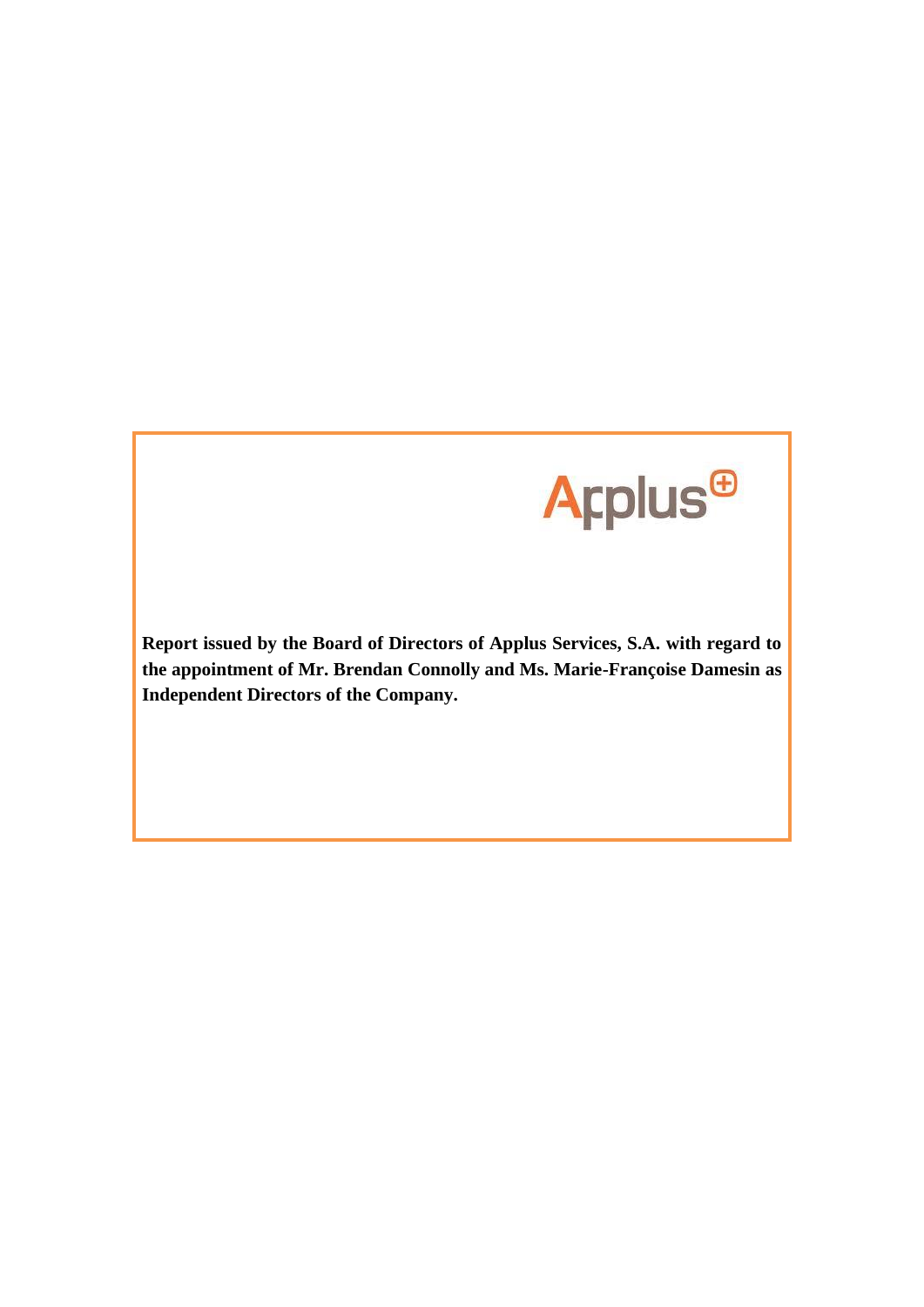

**Report issued by the Board of Directors of Applus Services, S.A. with regard to the appointment of Mr. Brendan Connolly and Ms. Marie-Françoise Damesin as Independent Directors of the Company.**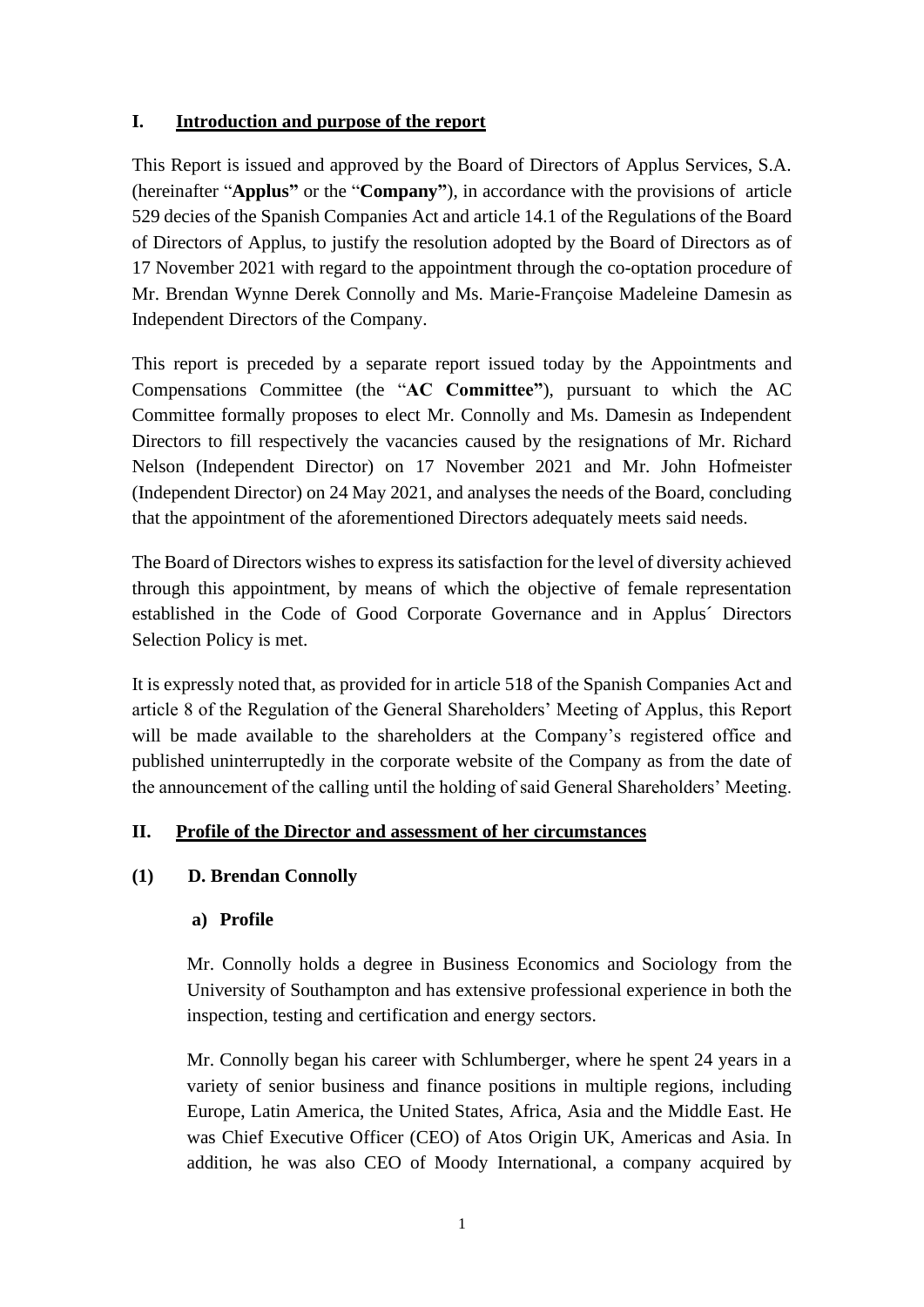# **I. Introduction and purpose of the report**

This Report is issued and approved by the Board of Directors of Applus Services, S.A. (hereinafter "**Applus"** or the "**Company"**), in accordance with the provisions of article 529 decies of the Spanish Companies Act and article 14.1 of the Regulations of the Board of Directors of Applus, to justify the resolution adopted by the Board of Directors as of 17 November 2021 with regard to the appointment through the co-optation procedure of Mr. Brendan Wynne Derek Connolly and Ms. Marie-Françoise Madeleine Damesin as Independent Directors of the Company.

This report is preceded by a separate report issued today by the Appointments and Compensations Committee (the "**AC Committee"**), pursuant to which the AC Committee formally proposes to elect Mr. Connolly and Ms. Damesin as Independent Directors to fill respectively the vacancies caused by the resignations of Mr. Richard Nelson (Independent Director) on 17 November 2021 and Mr. John Hofmeister (Independent Director) on 24 May 2021, and analyses the needs of the Board, concluding that the appointment of the aforementioned Directors adequately meets said needs.

The Board of Directors wishes to express its satisfaction for the level of diversity achieved through this appointment, by means of which the objective of female representation established in the Code of Good Corporate Governance and in Applus´ Directors Selection Policy is met.

It is expressly noted that, as provided for in article 518 of the Spanish Companies Act and article 8 of the Regulation of the General Shareholders' Meeting of Applus, this Report will be made available to the shareholders at the Company's registered office and published uninterruptedly in the corporate website of the Company as from the date of the announcement of the calling until the holding of said General Shareholders' Meeting.

## **II. Profile of the Director and assessment of her circumstances**

## **(1) D. Brendan Connolly**

## **a) Profile**

Mr. Connolly holds a degree in Business Economics and Sociology from the University of Southampton and has extensive professional experience in both the inspection, testing and certification and energy sectors.

Mr. Connolly began his career with Schlumberger, where he spent 24 years in a variety of senior business and finance positions in multiple regions, including Europe, Latin America, the United States, Africa, Asia and the Middle East. He was Chief Executive Officer (CEO) of Atos Origin UK, Americas and Asia. In addition, he was also CEO of Moody International, a company acquired by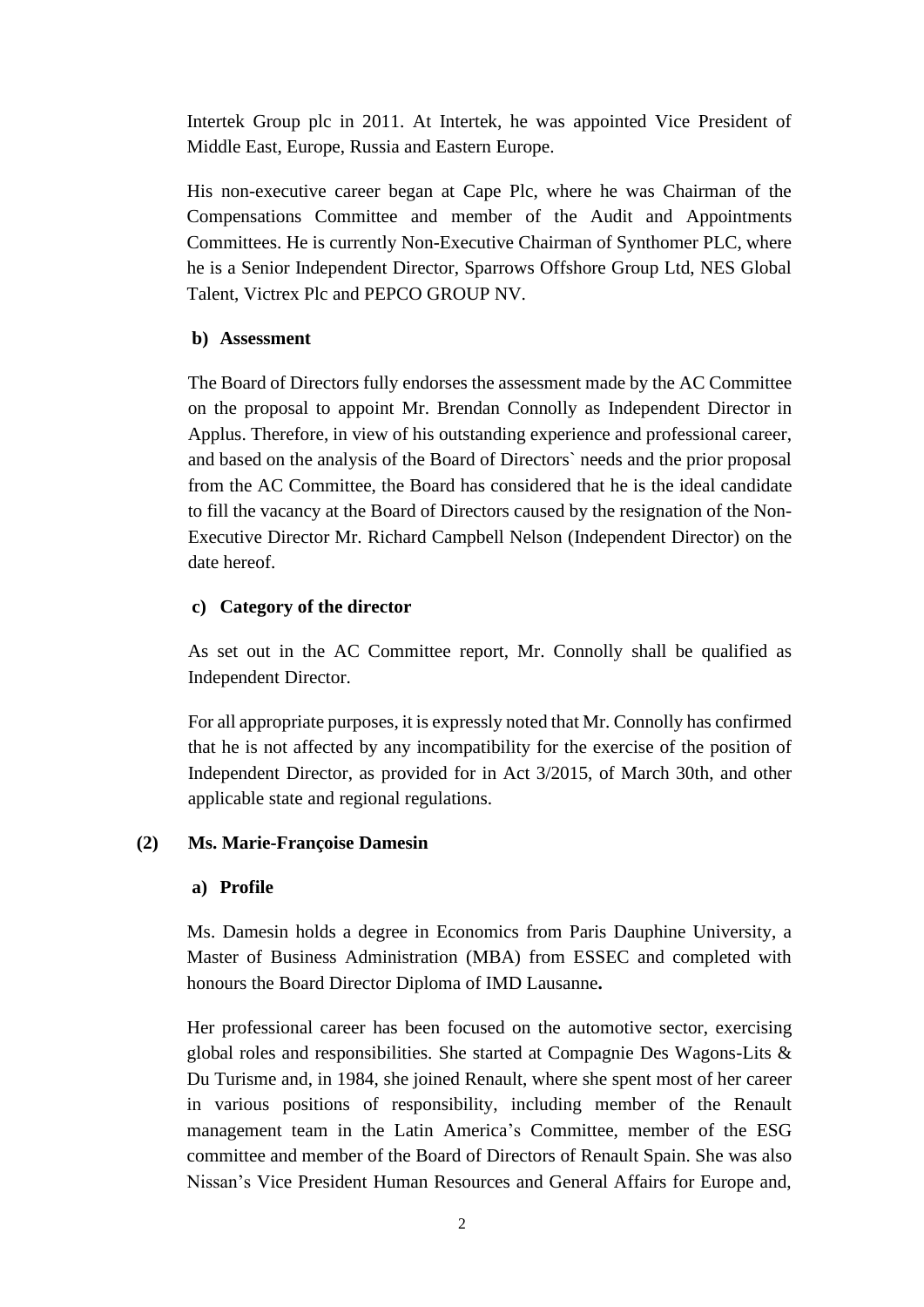Intertek Group plc in 2011. At Intertek, he was appointed Vice President of Middle East, Europe, Russia and Eastern Europe.

His non-executive career began at Cape Plc, where he was Chairman of the Compensations Committee and member of the Audit and Appointments Committees. He is currently Non-Executive Chairman of Synthomer PLC, where he is a Senior Independent Director, Sparrows Offshore Group Ltd, NES Global Talent, Victrex Plc and PEPCO GROUP NV.

## **b) Assessment**

The Board of Directors fully endorses the assessment made by the AC Committee on the proposal to appoint Mr. Brendan Connolly as Independent Director in Applus. Therefore, in view of his outstanding experience and professional career, and based on the analysis of the Board of Directors` needs and the prior proposal from the AC Committee, the Board has considered that he is the ideal candidate to fill the vacancy at the Board of Directors caused by the resignation of the Non-Executive Director Mr. Richard Campbell Nelson (Independent Director) on the date hereof.

## **c) Category of the director**

As set out in the AC Committee report, Mr. Connolly shall be qualified as Independent Director.

For all appropriate purposes, it is expressly noted that Mr. Connolly has confirmed that he is not affected by any incompatibility for the exercise of the position of Independent Director, as provided for in Act 3/2015, of March 30th, and other applicable state and regional regulations.

## **(2) Ms. Marie-Françoise Damesin**

## **a) Profile**

Ms. Damesin holds a degree in Economics from Paris Dauphine University, a Master of Business Administration (MBA) from ESSEC and completed with honours the Board Director Diploma of IMD Lausanne**.** 

Her professional career has been focused on the automotive sector, exercising global roles and responsibilities. She started at Compagnie Des Wagons-Lits & Du Turisme and, in 1984, she joined Renault, where she spent most of her career in various positions of responsibility, including member of the Renault management team in the Latin America's Committee, member of the ESG committee and member of the Board of Directors of Renault Spain. She was also Nissan's Vice President Human Resources and General Affairs for Europe and,